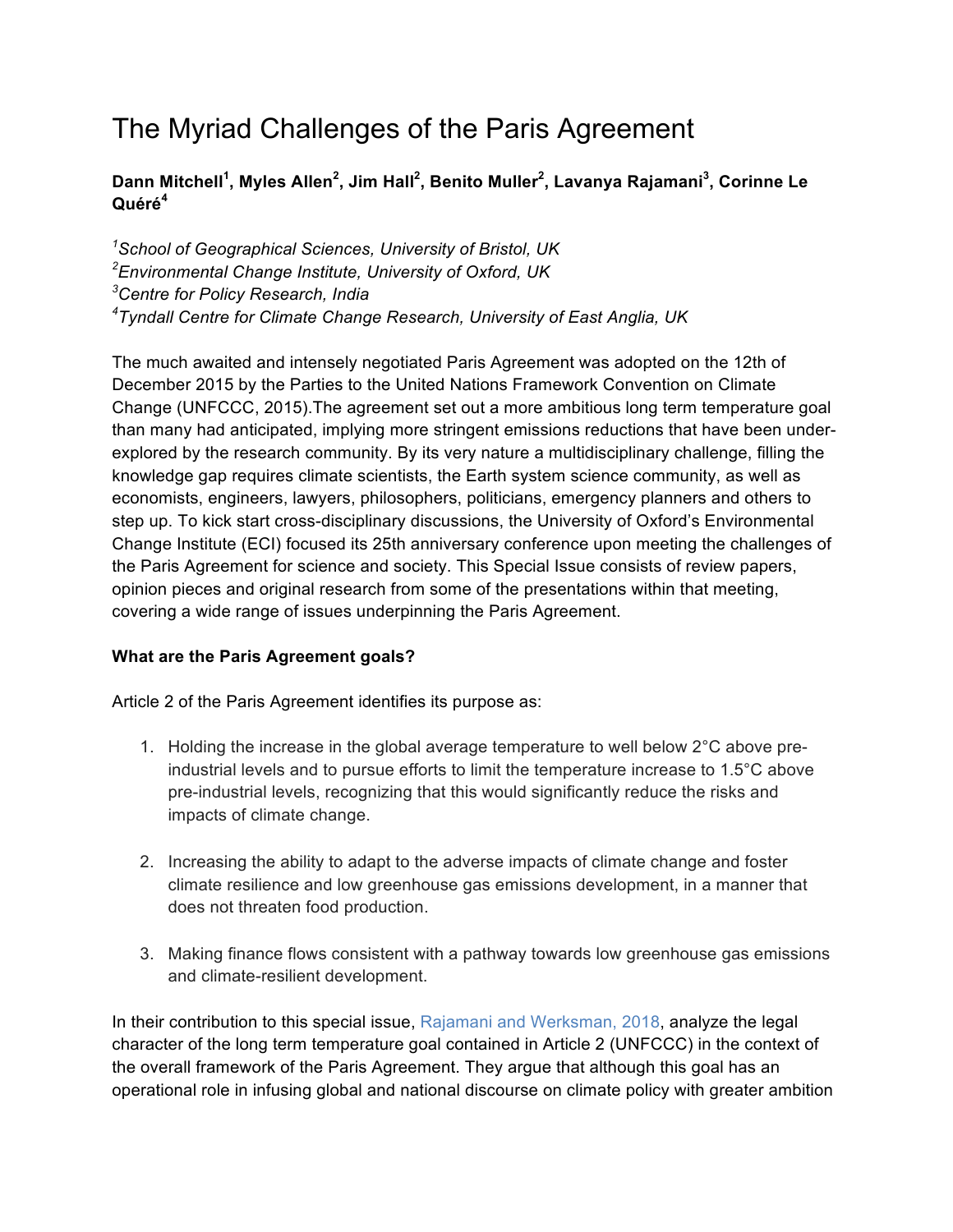# The Myriad Challenges of the Paris Agreement

# **Dann Mitchell<sup>1</sup> , Myles Allen<sup>2</sup> , Jim Hall<sup>2</sup> , Benito Muller<sup>2</sup> , Lavanya Rajamani<sup>3</sup> , Corinne Le Quéré<sup>4</sup>**

 *School of Geographical Sciences, University of Bristol, UK Environmental Change Institute, University of Oxford, UK Centre for Policy Research, India Tyndall Centre for Climate Change Research, University of East Anglia, UK*

The much awaited and intensely negotiated Paris Agreement was adopted on the 12th of December 2015 by the Parties to the United Nations Framework Convention on Climate Change (UNFCCC, 2015).The agreement set out a more ambitious long term temperature goal than many had anticipated, implying more stringent emissions reductions that have been underexplored by the research community. By its very nature a multidisciplinary challenge, filling the knowledge gap requires climate scientists, the Earth system science community, as well as economists, engineers, lawyers, philosophers, politicians, emergency planners and others to step up. To kick start cross-disciplinary discussions, the University of Oxford's Environmental Change Institute (ECI) focused its 25th anniversary conference upon meeting the challenges of the Paris Agreement for science and society. This Special Issue consists of review papers, opinion pieces and original research from some of the presentations within that meeting, covering a wide range of issues underpinning the Paris Agreement.

# **What are the Paris Agreement goals?**

Article 2 of the Paris Agreement identifies its purpose as:

- 1. Holding the increase in the global average temperature to well below  $2^{\circ}$ C above preindustrial levels and to pursue efforts to limit the temperature increase to 1.5°C above pre-industrial levels, recognizing that this would significantly reduce the risks and impacts of climate change.
- 2. Increasing the ability to adapt to the adverse impacts of climate change and foster climate resilience and low greenhouse gas emissions development, in a manner that does not threaten food production.
- 3. Making finance flows consistent with a pathway towards low greenhouse gas emissions and climate-resilient development.

In their contribution to this special issue, Rajamani and Werksman, 2018, analyze the legal character of the long term temperature goal contained in Article 2 (UNFCCC) in the context of the overall framework of the Paris Agreement. They argue that although this goal has an operational role in infusing global and national discourse on climate policy with greater ambition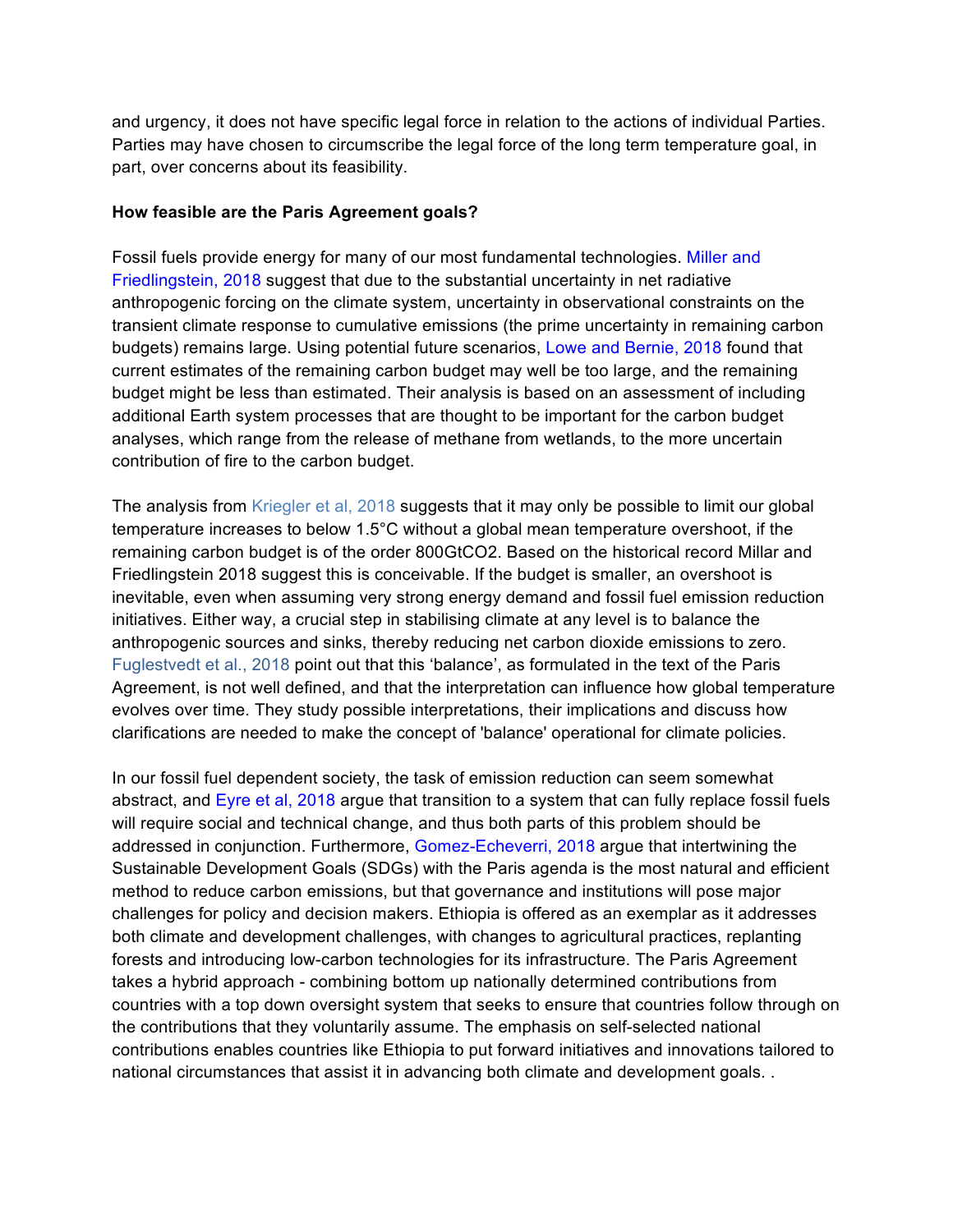and urgency, it does not have specific legal force in relation to the actions of individual Parties. Parties may have chosen to circumscribe the legal force of the long term temperature goal, in part, over concerns about its feasibility.

#### **How feasible are the Paris Agreement goals?**

Fossil fuels provide energy for many of our most fundamental technologies. Miller and Friedlingstein, 2018 suggest that due to the substantial uncertainty in net radiative anthropogenic forcing on the climate system, uncertainty in observational constraints on the transient climate response to cumulative emissions (the prime uncertainty in remaining carbon budgets) remains large. Using potential future scenarios, Lowe and Bernie, 2018 found that current estimates of the remaining carbon budget may well be too large, and the remaining budget might be less than estimated. Their analysis is based on an assessment of including additional Earth system processes that are thought to be important for the carbon budget analyses, which range from the release of methane from wetlands, to the more uncertain contribution of fire to the carbon budget.

The analysis from Kriegler et al, 2018 suggests that it may only be possible to limit our global temperature increases to below 1.5°C without a global mean temperature overshoot, if the remaining carbon budget is of the order 800GtCO2. Based on the historical record Millar and Friedlingstein 2018 suggest this is conceivable. If the budget is smaller, an overshoot is inevitable, even when assuming very strong energy demand and fossil fuel emission reduction initiatives. Either way, a crucial step in stabilising climate at any level is to balance the anthropogenic sources and sinks, thereby reducing net carbon dioxide emissions to zero. Fuglestvedt et al., 2018 point out that this 'balance', as formulated in the text of the Paris Agreement, is not well defined, and that the interpretation can influence how global temperature evolves over time. They study possible interpretations, their implications and discuss how clarifications are needed to make the concept of 'balance' operational for climate policies.

In our fossil fuel dependent society, the task of emission reduction can seem somewhat abstract, and Eyre et al, 2018 argue that transition to a system that can fully replace fossil fuels will require social and technical change, and thus both parts of this problem should be addressed in conjunction. Furthermore, Gomez-Echeverri, 2018 argue that intertwining the Sustainable Development Goals (SDGs) with the Paris agenda is the most natural and efficient method to reduce carbon emissions, but that governance and institutions will pose major challenges for policy and decision makers. Ethiopia is offered as an exemplar as it addresses both climate and development challenges, with changes to agricultural practices, replanting forests and introducing low-carbon technologies for its infrastructure. The Paris Agreement takes a hybrid approach - combining bottom up nationally determined contributions from countries with a top down oversight system that seeks to ensure that countries follow through on the contributions that they voluntarily assume. The emphasis on self-selected national contributions enables countries like Ethiopia to put forward initiatives and innovations tailored to national circumstances that assist it in advancing both climate and development goals. .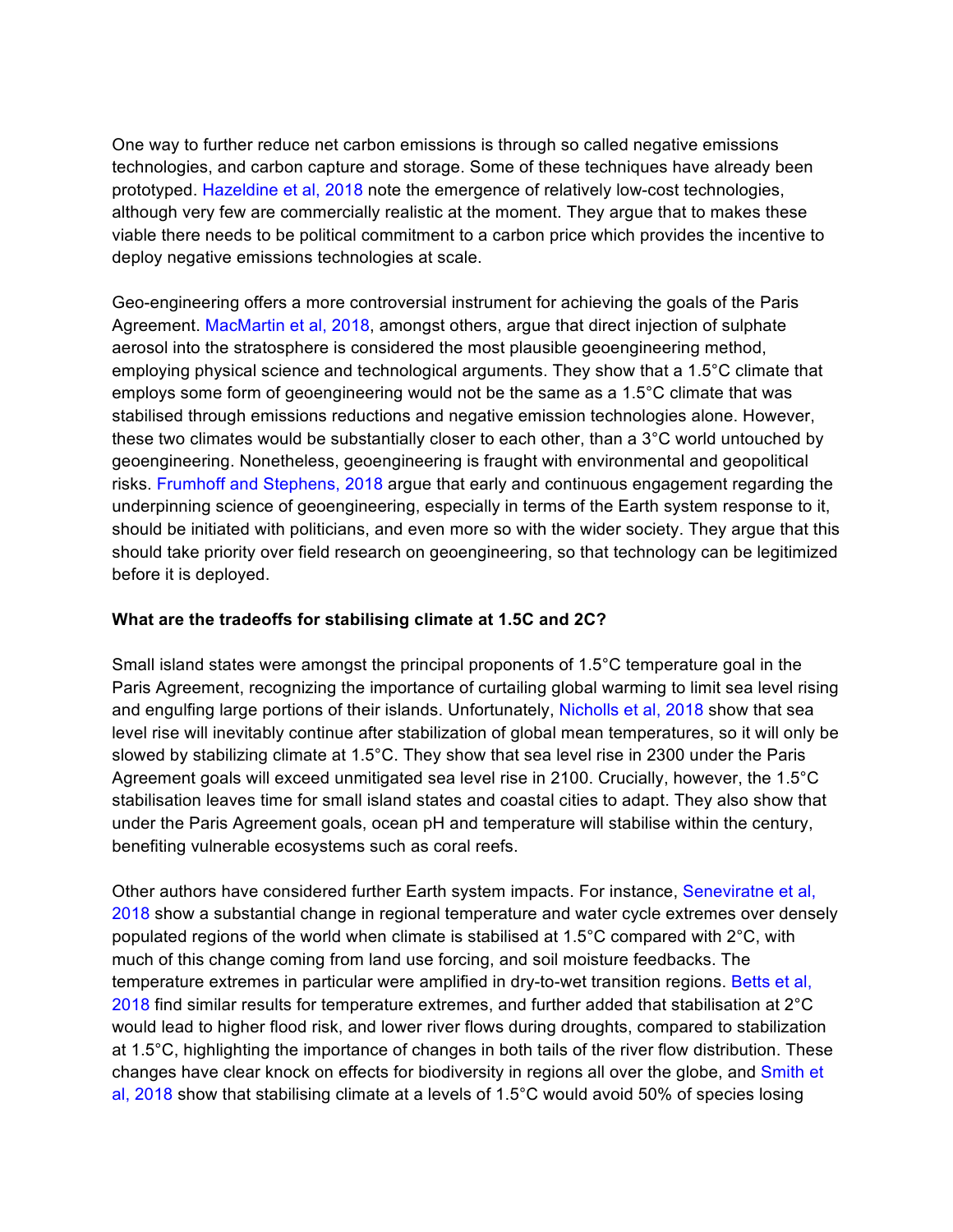One way to further reduce net carbon emissions is through so called negative emissions technologies, and carbon capture and storage. Some of these techniques have already been prototyped. Hazeldine et al, 2018 note the emergence of relatively low-cost technologies, although very few are commercially realistic at the moment. They argue that to makes these viable there needs to be political commitment to a carbon price which provides the incentive to deploy negative emissions technologies at scale.

Geo-engineering offers a more controversial instrument for achieving the goals of the Paris Agreement. MacMartin et al, 2018, amongst others, argue that direct injection of sulphate aerosol into the stratosphere is considered the most plausible geoengineering method, employing physical science and technological arguments. They show that a 1.5°C climate that employs some form of geoengineering would not be the same as a 1.5°C climate that was stabilised through emissions reductions and negative emission technologies alone. However, these two climates would be substantially closer to each other, than a 3°C world untouched by geoengineering. Nonetheless, geoengineering is fraught with environmental and geopolitical risks. Frumhoff and Stephens, 2018 argue that early and continuous engagement regarding the underpinning science of geoengineering, especially in terms of the Earth system response to it, should be initiated with politicians, and even more so with the wider society. They argue that this should take priority over field research on geoengineering, so that technology can be legitimized before it is deployed.

# **What are the tradeoffs for stabilising climate at 1.5C and 2C?**

Small island states were amongst the principal proponents of 1.5°C temperature goal in the Paris Agreement, recognizing the importance of curtailing global warming to limit sea level rising and engulfing large portions of their islands. Unfortunately, Nicholls et al, 2018 show that sea level rise will inevitably continue after stabilization of global mean temperatures, so it will only be slowed by stabilizing climate at 1.5°C. They show that sea level rise in 2300 under the Paris Agreement goals will exceed unmitigated sea level rise in 2100. Crucially, however, the 1.5°C stabilisation leaves time for small island states and coastal cities to adapt. They also show that under the Paris Agreement goals, ocean pH and temperature will stabilise within the century, benefiting vulnerable ecosystems such as coral reefs.

Other authors have considered further Earth system impacts. For instance, Seneviratne et al, 2018 show a substantial change in regional temperature and water cycle extremes over densely populated regions of the world when climate is stabilised at 1.5°C compared with 2°C, with much of this change coming from land use forcing, and soil moisture feedbacks. The temperature extremes in particular were amplified in dry-to-wet transition regions. Betts et al, 2018 find similar results for temperature extremes, and further added that stabilisation at 2°C would lead to higher flood risk, and lower river flows during droughts, compared to stabilization at 1.5°C, highlighting the importance of changes in both tails of the river flow distribution. These changes have clear knock on effects for biodiversity in regions all over the globe, and Smith et al, 2018 show that stabilising climate at a levels of 1.5°C would avoid 50% of species losing